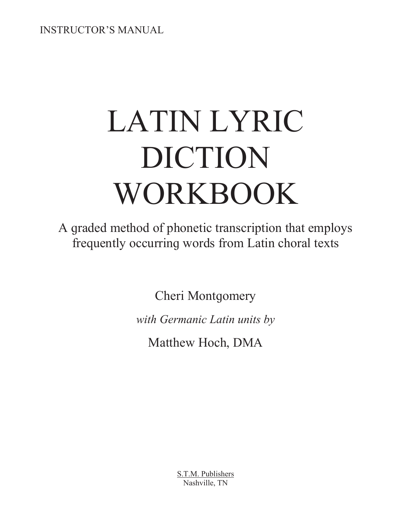INSTRUCTOR'S MANUAL

# LATIN LYRIC DICTION WORKBOOK

A graded method of phonetic transcription that employs frequently occurring words from Latin choral texts

Cheri Montgomery

*with Germanic Latin units by* 

Matthew Hoch, DMA

S.T.M. Publishers Nashville, TN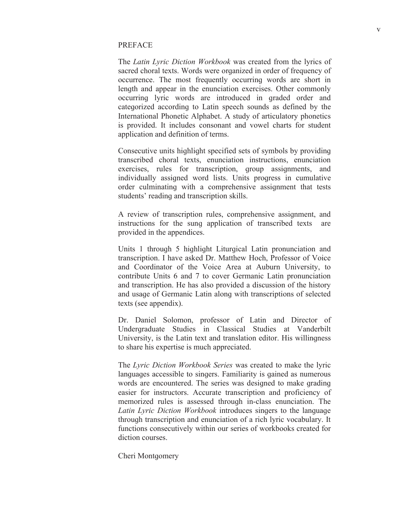#### PREFACE

The *Latin Lyric Diction Workbook* was created from the lyrics of sacred choral texts. Words were organized in order of frequency of occurrence. The most frequently occurring words are short in length and appear in the enunciation exercises. Other commonly occurring lyric words are introduced in graded order and categorized according to Latin speech sounds as defined by the International Phonetic Alphabet. A study of articulatory phonetics is provided. It includes consonant and vowel charts for student application and definition of terms.

Consecutive units highlight specified sets of symbols by providing transcribed choral texts, enunciation instructions, enunciation exercises, rules for transcription, group assignments, and individually assigned word lists. Units progress in cumulative order culminating with a comprehensive assignment that tests students' reading and transcription skills.

A review of transcription rules, comprehensive assignment, and instructions for the sung application of transcribed texts are provided in the appendices.

Units 1 through 5 highlight Liturgical Latin pronunciation and transcription. I have asked Dr. Matthew Hoch, Professor of Voice and Coordinator of the Voice Area at Auburn University, to contribute Units 6 and 7 to cover Germanic Latin pronunciation and transcription. He has also provided a discussion of the history and usaqe of Germanic Latin alonq with transcriptions of selected texts (see appendix).

Dr. Daniel Solomon, professor of Latin and Director of Undergraduate Studies in Classical Studies at Vanderbilt University, is the Latin text and translation editor. His willingness to share his expertise is much appreciated.

The *Lyric Diction Workbook Series* was created to make the lyric languages accessible to singers. Familiarity is gained as numerous words are encountered. The series was designed to make grading easier for instructors. Accurate transcription and proficiency of memorized rules is assessed through in-class enunciation. The *Latin Lyric Diction Workbook* introduces singers to the language through transcription and enunciation of a rich lyric vocabulary. It functions consecutively within our series of workbooks created for diction courses.

Cheri Montgomery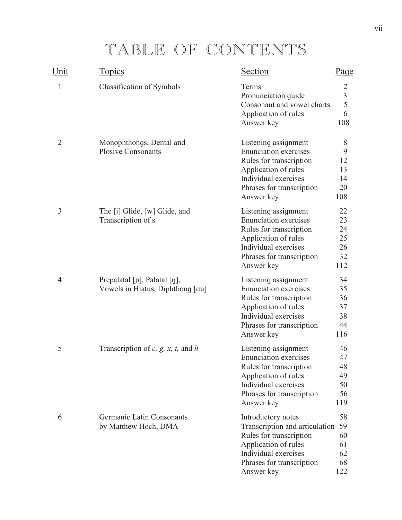### TABLE OF CONTENTS

| Unit           | <b>Topics</b>                                                    | Section                                                                                                                                                                       | Page                                    |
|----------------|------------------------------------------------------------------|-------------------------------------------------------------------------------------------------------------------------------------------------------------------------------|-----------------------------------------|
| 1              | Classification of Symbols                                        | Terms<br>Pronunciation guide<br>Consonant and vowel charts<br>Application of rules<br>Answer key                                                                              | 2<br>$\overline{3}$<br>5<br>6<br>108    |
| $\overline{2}$ | Monophthongs, Dental and<br><b>Plosive Consonants</b>            | Listening assignment<br><b>Enunciation</b> exercises<br>Rules for transcription<br>Application of rules<br>Individual exercises<br>Phrases for transcription<br>Answer key    | 8<br>9<br>12<br>13<br>14<br>20<br>108   |
| 3              | The $[j]$ Glide, $[w]$ Glide, and<br>Transcription of s          | Listening assignment<br><b>Enunciation</b> exercises<br>Rules for transcription<br>Application of rules<br>Individual exercises<br>Phrases for transcription<br>Answer key    | 22<br>23<br>24<br>25<br>26<br>32<br>112 |
| 4              | Prepalatal [n], Palatal [n],<br>Vowels in Hiatus, Diphthong [au] | Listening assignment<br><b>Enunciation exercises</b><br>Rules for transcription<br>Application of rules<br>Individual exercises<br>Phrases for transcription<br>Answer key    | 34<br>35<br>36<br>37<br>38<br>44<br>116 |
| 5              | Transcription of $c$ , $g$ , $x$ , $t$ , and $h$                 | Listening assignment<br><b>Enunciation</b> exercises<br>Rules for transcription<br>Application of rules<br>Individual exercises<br>Phrases for transcription<br>Answer key    | 46<br>47<br>48<br>49<br>50<br>56<br>119 |
| 6              | Germanic Latin Consonants<br>by Matthew Hoch, DMA                | Introductory notes<br>Transcription and articulation 59<br>Rules for transcription<br>Application of rules<br>Individual exercises<br>Phrases for transcription<br>Answer key | 58<br>60<br>61<br>62<br>68<br>122       |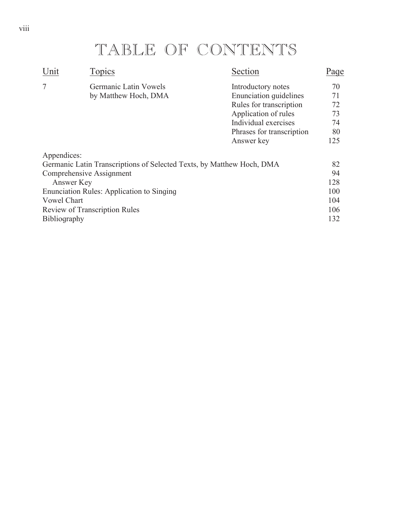### TABLE OF CONTENTS

| Unit               | Topics                                                                | Section                       | Page |
|--------------------|-----------------------------------------------------------------------|-------------------------------|------|
| 7                  | Germanic Latin Vowels                                                 | Introductory notes            | 70   |
|                    | by Matthew Hoch, DMA                                                  | <b>Enunciation quidelines</b> | 71   |
|                    |                                                                       | Rules for transcription       | 72   |
|                    |                                                                       | Application of rules          | 73   |
|                    |                                                                       | Individual exercises          | 74   |
|                    |                                                                       | Phrases for transcription     | 80   |
|                    |                                                                       | Answer key                    | 125  |
| Appendices:        |                                                                       |                               |      |
|                    | Germanic Latin Transcriptions of Selected Texts, by Matthew Hoch, DMA |                               | 82   |
|                    | Comprehensive Assignment                                              |                               | 94   |
| Answer Key         |                                                                       |                               | 128  |
|                    | <b>Enunciation Rules: Application to Singing</b>                      |                               | 100  |
| <b>Vowel Chart</b> |                                                                       |                               | 104  |
|                    | <b>Review of Transcription Rules</b>                                  |                               | 106  |
| Bibliography       |                                                                       |                               | 132  |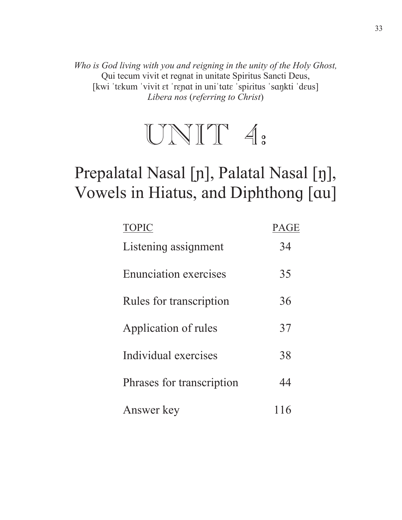Who is God living with you and reigning in the unity of the Holy Ghost, Qui tecum vivit et requat in unitate Spiritus Sancti Deus, [kwi 'tekum 'vivit et 'repat in uni'tate 'spiritus 'sankti 'deus] Libera nos (referring to Christ)



### Prepalatal Nasal [n], Palatal Nasal [n], Vowels in Hiatus, and Diphthong [au]

| <b>TOPIC</b>                 | PAGE |
|------------------------------|------|
| Listening assignment         | 34   |
| <b>Enunciation exercises</b> | 35   |
| Rules for transcription      | 36   |
| Application of rules         | 37   |
| Individual exercises         | 38   |
| Phrases for transcription    | 44   |
| Answer key                   | 116  |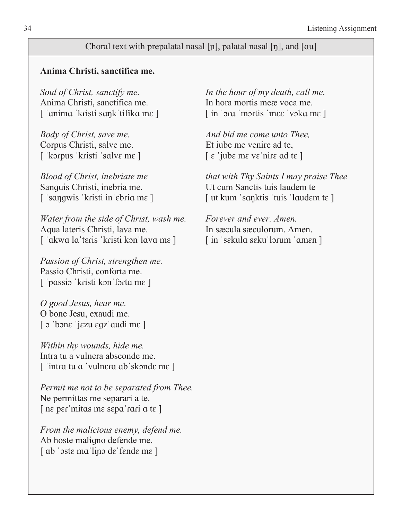#### Choral text with prepalatal nasal [n], palatal nasal [n], and [ $\alpha$

#### **Anima Christi, sanctifica me.**

Anima Christi, sanctifica me. In hora mortis meæ voca me.

Corpus Christi, salve me. Et iube me venire ad te,  $\lceil$  'korpus 'kristi 'salve me  $\lceil$   $\varepsilon$  'jube me ve'nire ad te  $\lceil$ 

Sanguis Christi, inebria me. Ut cum Sanctis tuis laudem te

*Water from the side of Christ, wash me. Forever and ever. Amen.*  Aqua lateris Christi, lava me. In sæcula sæculorum. Amen. [ 'akwa la 'teris 'kristi kon 'lava me ] [in 'sekula seku 'lorum 'amen ]

*Passion of Christ, strengthen me.*  Passio Christi, conforta me.  $\lceil$  'passio 'kristi kon forta me ]

*O good Jesus, hear me.*  O bone Jesu, exaudi me. [  $\sigma$  'bone 'jezu egz' audi me ]

*Within thy wounds, hide me.*  Intra tu a vulnera absconde me. ['intra tu a 'vulnera ab'skonde me]

*Permit me not to be separated from Thee.*  Ne permittas me separari a te.  $\lceil$  ne per mitas me sepa rari a te  $\lceil$ 

*From the malicious enemy, defend me.*  Ab hoste malique defende me.  $\lceil$  ab 'oste ma'lino de 'fende me  $\rceil$ 

*Soul of Christ, sanctify me. In the hour of my death, call me.*  ['anima 'kristi sank'tifika me] [in 'ora 'mortis 'mee 'voka me]

*Body of Christ, save me.* And bid me come unto Thee,

*Blood of Christ, inebriate me that with Thy Saints I may praise Thee*  ['sangwis 'kristi in 'ebria me ] [ut kum 'sanktis 'tuis 'laudem te ]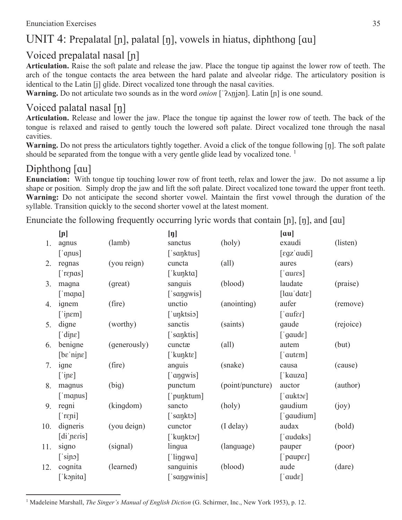#### UNIT 4: Prepalatal [n], palatal [n], vowels in hiatus, diphthong [au]

#### Voiced prepalatal nasal  $[n]$

Articulation. Raise the soft palate and release the jaw. Place the tongue tip against the lower row of teeth. The arch of the tonque contacts the area between the hard palate and alveolar ridge. The articulatory position is identical to the Latin [j] qlide. Direct vocalized tone through the nasal cavities.

**Warning.** Do not articulate two sounds as in the word *onion* [' $\lambda$ njən]. Latin [n] is one sound.

#### Voiced palatal nasal [ŋ]

Articulation. Release and lower the jaw. Place the tonque tip against the lower row of teeth. The back of the tonque is relaxed and raised to gently touch the lowered soft palate. Direct vocalized tone through the nasal cavities.

**Warning.** Do not press the articulators tightly together. Avoid a click of the tonque following  $[\eta]$ . The soft palate should be separated from the tonque with a very gentle glide lead by vocalized tone.  $\frac{1}{1}$ 

#### Diphthong  $|au|$

**Enunciation:** With tonque tip touching lower row of front teeth, relax and lower the jaw. Do not assume a lip shape or position. Simply drop the jaw and lift the soft palate. Direct vocalized tone toward the upper front teeth. **Warning:** Do not anticipate the second shorter vowel. Maintain the first vowel through the duration of the syllable. Transition quickly to the second shorter vowel at the latest moment.

Enunciate the following frequently occurring lyric words that contain  $[n]$ ,  $[n]$ , and  $\lceil \alpha u \rceil$ 

| [n]                                |              | $[\mathbf{\eta}]$ |                  | $\lceil \alpha u \rceil$               |           |
|------------------------------------|--------------|-------------------|------------------|----------------------------------------|-----------|
| agnus                              | (lamb)       | sanctus           | (holy)           | exaudi                                 | (listen)  |
| $[$ 'anus]                         |              | ['sanktus]        |                  | $[$ egz' audi $]$                      |           |
| regnas                             | (you reign)  | cuncta            | $\text{(all)}$   | aures                                  | (ears)    |
| $[$ repas]                         |              | ['kunkta]         |                  | $\lceil$ 'aures]                       |           |
| magna                              | (great)      | sanguis           | (blood)          | laudate                                | (praise)  |
| $[$ mana]                          |              | ['sangwis]        |                  | $[$ lau'dat $\varepsilon]$             |           |
| ignem                              | (fire)       | unctio            | (anointing)      | aufer                                  | (remove)  |
| ['inem]                            |              | ['unktsio]        |                  | $\lceil \cdot \text{aufer} \rceil$     |           |
| digne                              | (worthy)     | sanctis           | (saints)         | gaude                                  | (rejoice) |
| [ 'dipe ]                          |              | ['sanktis]        |                  | $\lceil \text{gaud}\varepsilon \rceil$ |           |
| benigne                            | (generously) | cunctæ            | $\text{(all)}$   | autem                                  | (but)     |
| $[bε'n j p ε]$                     |              | [ˈkuŋktɛ]         |                  | $\lceil$ 'autem $\rceil$               |           |
| igne                               | (fire)       | anguis            | (snake)          | causa                                  | (cause)   |
| $[\text{ine}]$                     |              | ['angwis]         |                  | [' $kauza$ ]                           |           |
| magnus                             | (big)        | punctum           | (point/puncture) | auctor                                 | (author)  |
| $[$ 'manus]                        |              | ['punktum]        |                  | $\lceil$ 'auktor $\rceil$              |           |
| regni                              | (kingdom)    | sancto            | (holy)           | gaudium                                | (joy)     |
| $[$ repi]                          |              | $\lceil$ 'sankto] |                  | ['gaudium]                             |           |
| digneris                           | (you deign)  | cunctor           | (I delay)        | audax                                  | (bold)    |
| $\left[ \mathrm{di} \right]$ peris |              | ['kunktor]        |                  | ['audaks]                              |           |
| signo                              | (signal)     | lingua            | (language)       | pauper                                 | (poor)    |
| $[\sin \circ]$                     |              | [ 'lingwa ]       |                  | $\lceil$ 'pauper]                      |           |
| cognita                            | (learned)    | sanguinis         | (blood)          | aude                                   | (dare)    |
| ['konita]                          |              | ['sangwinis]      |                  | $[$ 'aud $\varepsilon]$                |           |
|                                    |              |                   |                  |                                        |           |

<sup>1</sup> Madeleine Marshall, *The Singer's Manual of English Diction* (G. Schirmer, Inc., New York 1953), p. 12.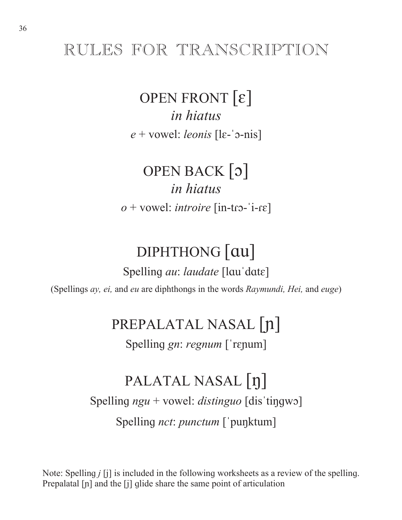### RULES FOR TRANSCRIPTION

**OPEN FRONT**  $\lbrack \varepsilon \rbrack$ *in higtus*  $e$  + vowel: *leonis* [le-'<sub>2</sub>-nis]

OPEN BACK [3] *in higtus*  $o$  + vowel: *introire* [in-tro-'i-re]

### DIPHTHONG [au]

Spelling *au: laudate* [lau'date] (Spellings ay, ei, and eu are diphthongs in the words Raymundi, Hei, and euge)

PREPALATAL NASAL [n]

Spelling *gn: regnum* ['repum]

### PALATAL NASAL |n| Spelling  $ngu$  + vowel: *distinguo* [dis tingwo] Spelling *nct: punctum* ['punktum]

Note: Spelling  $j$  [j] is included in the following worksheets as a review of the spelling. Prepalatal [n] and the [j] glide share the same point of articulation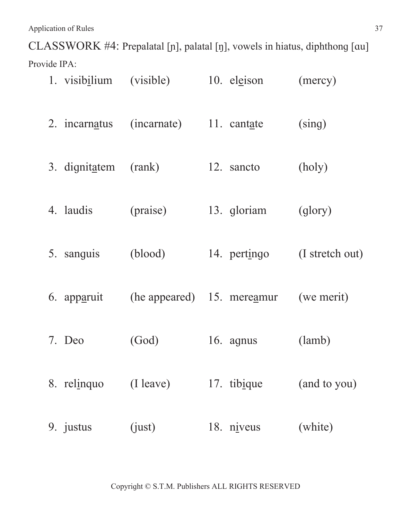Application of Rules 37

CLASSWORK #4: Prepalatal [n], palatal [ŋ], vowels in hiatus, diphthong [au] Provide IPA:

| 1. visib <u>ilium</u> | (visible)   | 10. eleison                | (mercy)         |
|-----------------------|-------------|----------------------------|-----------------|
| 2. incarnatus         | (incarnate) | 11. cantate                | (sing)          |
| 3. dignitatem         | (rank)      | 12. sancto                 | (holy)          |
| 4. laudis             | (praise)    | 13. gloriam                | (glory)         |
| 5. sanguis            | (blood)     | 14. pertingo               | (I stretch out) |
| 6. apparuit           |             | (he appeared) 15. mereamur | (we merit)      |
| 7. Deo                | (God)       | 16. agnus                  | (lamb)          |
| 8. relinquo           | (I leave)   | 17. tibique                | (and to you)    |
| 9. justus             | (iust)      | 18. $n$ <i>iveus</i>       | (white)         |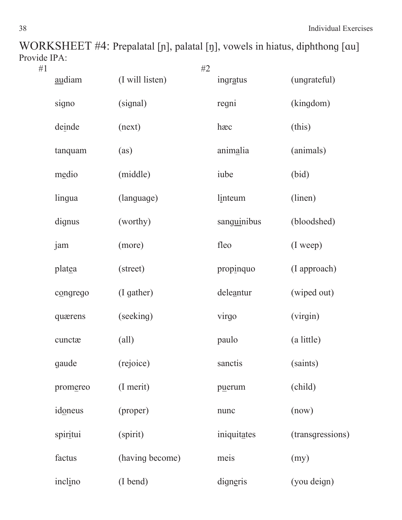WORKSHEET #4: Prepalatal [n], palatal [ŋ], vowels in hiatus, diphthong [au] Provide IPA:<br>#1

| #1 |          |                 | #2 |             |                  |
|----|----------|-----------------|----|-------------|------------------|
|    | audiam   | (I will listen) |    | ingratus    | (ungrateful)     |
|    | signo    | (signal)        |    | regni       | (kingdom)        |
|    | deinde   | (next)          |    | hæc         | (this)           |
|    | tanquam  | (as)            |    | animalia    | (animals)        |
|    | medio    | (middle)        |    | iube        | (bid)            |
|    | lingua   | (language)      |    | linteum     | (linen)          |
|    | dignus   | (worthy)        |    | sanguinibus | (bloodshed)      |
|    | jam      | (more)          |    | fleo        | (I weep)         |
|    | platea   | (street)        |    | propinquo   | (I approach)     |
|    | congrego | (I gather)      |    | deleantur   | (wiped out)      |
|    | quærens  | (seeking)       |    | virgo       | (virgin)         |
|    | cunctæ   | $\text{(all)}$  |    | paulo       | (a little)       |
|    | gaude    | (rejoice)       |    | sanctis     | (saints)         |
|    | promereo | (I merit)       |    | puerum      | (child)          |
|    | idoneus  | (proper)        |    | nunc        | (now)            |
|    | spiritui | (spirit)        |    | iniquitates | (transgressions) |
|    | factus   | (having become) |    | meis        | (my)             |
|    | inclino  | (I bend)        |    | digneris    | (you deign)      |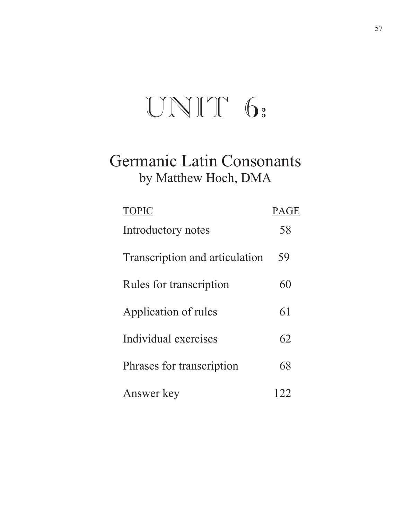# UNIT 6:

### Germanic Latin Consonants by Matthew Hoch, DMA

| <b>TOPIC</b>                   | PAGE  |
|--------------------------------|-------|
| Introductory notes             | 58    |
| Transcription and articulation | 59    |
| Rules for transcription        | 60    |
| Application of rules           | 61    |
| Individual exercises           | 62    |
| Phrases for transcription      | 68    |
| Answer key                     | $Z^2$ |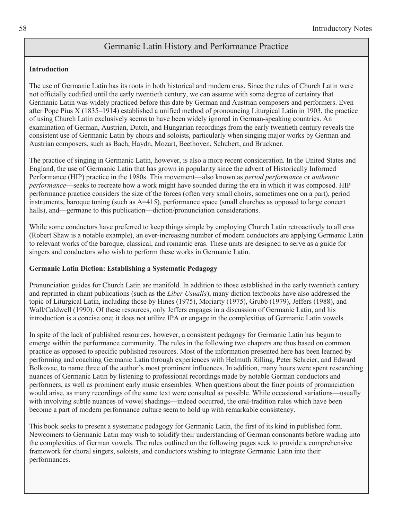#### Germanic Latin History and Performance Practice

#### **Introduction**

The use of Germanic Latin has its roots in both historical and modern eras. Since the rules of Church Latin were not officially codified until the early twentieth century, we can assume with some degree of certainty that Germanic Latin was widely practiced before this date by German and Austrian composers and performers. Even after Pope Pius X (1835–1914) established a unified method of pronouncing Liturgical Latin in 1903, the practice of using Church Latin exclusively seems to have been widely ignored in German-speaking countries. An examination of German, Austrian, Dutch, and Hungarian recordings from the early twentieth century reveals the consistent use of Germanic Latin by choirs and soloists, particularly when singing major works by German and Austrian composers, such as Bach, Haydn, Mozart, Beethoven, Schubert, and Bruckner.

The practice of singing in Germanic Latin, however, is also a more recent consideration. In the United States and England, the use of Germanic Latin that has grown in popularity since the advent of Historically Informed Performance (HIP) practice in the 1980s. This movement—also known as *period performance* or *authentic performance*—seeks to recreate how a work might have sounded during the era in which it was composed. HIP performance practice considers the size of the forces (often very small choirs, sometimes one on a part), period instruments, baroque tuning (such as A=415), performance space (small churches as opposed to large concert halls), and—germane to this publication—diction/pronunciation considerations.

While some conductors have preferred to keep things simple by employing Church Latin retroactively to all eras (Robert Shaw is a notable example), an ever-increasing number of modern conductors are applying Germanic Latin to relevant works of the baroque, classical, and romantic eras. These units are designed to serve as a guide for singers and conductors who wish to perform these works in Germanic Latin.

#### **Germanic Latin Diction: Establishing a Systematic Pedagogy**

Pronunciation guides for Church Latin are manifold. In addition to those established in the early twentieth century and reprinted in chant publications (such as the *Liber Usualis*), many diction textbooks have also addressed the topic of Liturgical Latin, including those by Hines (1975), Moriarty (1975), Grubb (1979), Jeffers (1988), and Wall/Caldwell (1990). Of these resources, only Jeffers engages in a discussion of Germanic Latin, and his introduction is a concise one; it does not utilize IPA or engage in the complexities of Germanic Latin vowels.

In spite of the lack of published resources, however, a consistent pedagogy for Germanic Latin has begun to emerge within the performance community. The rules in the following two chapters are thus based on common practice as opposed to specific published resources. Most of the information presented here has been learned by performing and coaching Germanic Latin through experiences with Helmuth Rilling, Peter Schreier, and Edward Bolkovac, to name three of the author's most prominent influences. In addition, many hours were spent researching nuances of Germanic Latin by listening to professional recordings made by notable German conductors and performers, as well as prominent early music ensembles. When questions about the finer points of pronunciation would arise, as many recordings of the same text were consulted as possible. While occasional variations—usually with involving subtle nuances of vowel shadings—indeed occurred, the oral-tradition rules which have been become a part of modern performance culture seem to hold up with remarkable consistency.

This book seeks to present a systematic pedagogy for Germanic Latin, the first of its kind in published form. Newcomers to Germanic Latin may wish to solidify their understanding of German consonants before wading into the complexities of German vowels. The rules outlined on the following pages seek to provide a comprehensive framework for choral singers, soloists, and conductors wishing to integrate Germanic Latin into their performances.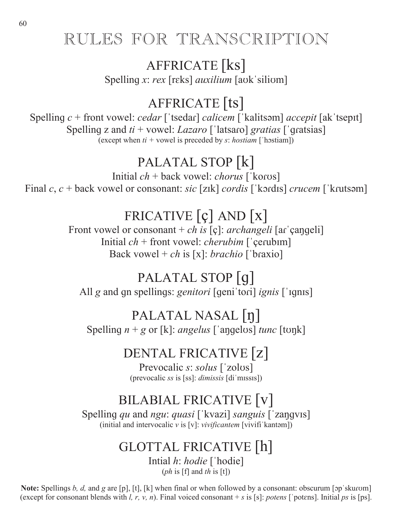### RULES FOR TRANSCRIPTION

### AFFRICATE [ks]

Spelling *x*: *rex* [rɛks] *auxilium* [aʊkˈsiliʊm]

### AFFRICATE [ts]

Spelling  $c$  + front vowel: *cedar* ['tsedar] *calicem* ['kalitsom] *accepit* [ak'tsepit] Spelling z and  $ti$  + vowel: *Lazaro* ['latsaro] *gratias* ['qratsias] (except when  $ti$  + vowel is preceded by  $s$ : *hostiam* ['hostiam])

### PALATAL STOP [k]

Initial  $ch +$  back vowel: *chorus* ['koros] Final *c*, *c* + back vowel or consonant: *sic* [z<sub>Ik]</sub> *cordis* ['kordis] *crucem* ['krutsəm]

### FRICATIVE [ç] AND [x]

Front vowel or consonant + *ch is* [ç]: *archangeli* [ar' cangeli] Initial  $ch$  + front vowel: *cherubim* ['cerubim] Back vowel + *ch* is [x]: *brachio* ['braxio]

### PALATAL STOP [g]

All *g* and qn spellings: *genitori* [qeni tori] *ignis* [ 'iqnis]

### PALATAL NASAL [n]

Spelling  $n + g$  or [k]: *angelus*  $\lceil \text{angelus} \rceil$  *tunc*  $\lceil \text{topk} \rceil$ 

### DENTAL FRICATIVE [z]

Prevocalic *s*: *solus* ['zolus] (prevocalic *ss* is [ss]: *dimissis* [di'missis])

### BILABIAL FRICATIVE [v]

Spelling *qu* and *ngu*: *quasi* ['kvazi] *sanguis* ['zangvis] (initial and intervocalic  $v$  is [v]: *vivificantem* [vivifi'kantom])

### GLOTTAL FRICATIVE [h]

Intial *h*: *hodie* ['hodie] (*ph* is [f] and *th* is [t])

**Note:** Spellings *b, d,* and *g* are [p], [t], [k] when final or when followed by a consonant: obscurum [op skurom] (except for consonant blends with *l, r, v, n*). Final voiced consonant  $+ s$  is [s]: *potens* ['potens]. Initial *ps* is [ps].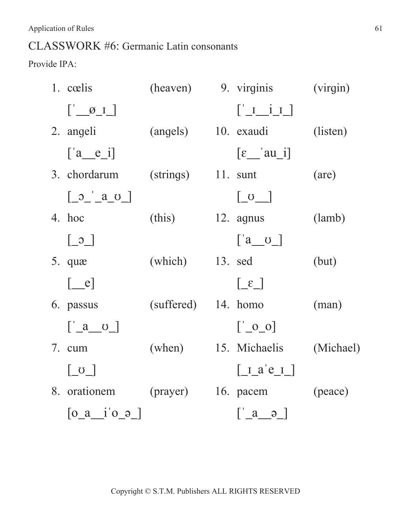#### CLASSWORK #6: Germanic Latin consonants

Provide IPA:

|    | 1. cœlis                                                                              |                      | (heaven) 9. virginis                                                                                                                                                                                                                                                                                                                                                        | (virgin)       |
|----|---------------------------------------------------------------------------------------|----------------------|-----------------------------------------------------------------------------------------------------------------------------------------------------------------------------------------------------------------------------------------------------------------------------------------------------------------------------------------------------------------------------|----------------|
|    | $\begin{bmatrix} 0 & \mathcal{O} & \mathcal{O} & \mathcal{O} \end{bmatrix}$           |                      | $\begin{bmatrix} 1 & i & 1 \end{bmatrix}$                                                                                                                                                                                                                                                                                                                                   |                |
|    | 2. angeli                                                                             | (angels) 10. exaudi  |                                                                                                                                                                                                                                                                                                                                                                             | (listen)       |
|    | $[a_e$ $e_i]$                                                                         |                      | $\lceil \varepsilon \underline{\hspace{1cm}} \rceil$ au $\lceil \varepsilon \underline{\hspace{1cm}} \rceil$                                                                                                                                                                                                                                                                |                |
|    | 3. chordarum                                                                          | $(strings)$ 11. sunt |                                                                                                                                                                                                                                                                                                                                                                             | (are)          |
|    | $\begin{bmatrix} 0 \\ 0 \end{bmatrix}$ $\begin{bmatrix} a & b \\ c & d \end{bmatrix}$ |                      | $\lfloor 0 \rfloor$                                                                                                                                                                                                                                                                                                                                                         |                |
|    | 4. hoc                                                                                | (this)               | $12.$ agnus                                                                                                                                                                                                                                                                                                                                                                 | (lamb)         |
|    | $\begin{bmatrix} 0 \\ -2 \end{bmatrix}$                                               |                      | $\begin{bmatrix} a & b \end{bmatrix}$                                                                                                                                                                                                                                                                                                                                       |                |
|    | 5. quæ                                                                                | $(which)$ 13. sed    |                                                                                                                                                                                                                                                                                                                                                                             | (but)          |
|    | $[\_\ e]$                                                                             |                      | $\lceil \mathcal{E} \rfloor$                                                                                                                                                                                                                                                                                                                                                |                |
|    | 6. passus                                                                             | (suffered) 14. homo  |                                                                                                                                                                                                                                                                                                                                                                             | $(\text{man})$ |
|    | $\left[ \begin{array}{cc} a & c \end{array} \right]$                                  |                      | $\begin{bmatrix} 0 & 0 \\ 0 & 0 \end{bmatrix}$                                                                                                                                                                                                                                                                                                                              |                |
|    | 7. cum                                                                                | (when) 15. Michaelis |                                                                                                                                                                                                                                                                                                                                                                             | (Michael)      |
|    | $\begin{bmatrix} 0 \\ 0 \\ 0 \end{bmatrix}$                                           |                      | $\begin{bmatrix} 1 & a' & e \\ 1 & -a' & e \\ 1 & -a' & e \\ 1 & -a' & e \\ 1 & -a' & e \\ 1 & -a' & e \\ 1 & -a' & e \\ 1 & -a' & e \\ 1 & -a' & e \\ 1 & -a' & e \\ 1 & -a' & e \\ 1 & -a' & e \\ 1 & -a' & e \\ 1 & -a' & e \\ 1 & -a' & e' \\ 1 & -a' & e' & 1 \\ 1 & -a' & e' & 1 \\ 1 & -a' & e' & 1 \\ 1 & -a' & e' & 1 \\ 1 & -a' & e' & 1 \\ 1 & -a' & e' & 1 \\ $ |                |
| 8. | orationem (prayer) 16. pacem                                                          |                      |                                                                                                                                                                                                                                                                                                                                                                             | (peace)        |
|    | $[0_a$ <sup>i</sup> $0_2]$                                                            |                      | $\begin{bmatrix} 2 & a & a \end{bmatrix}$                                                                                                                                                                                                                                                                                                                                   |                |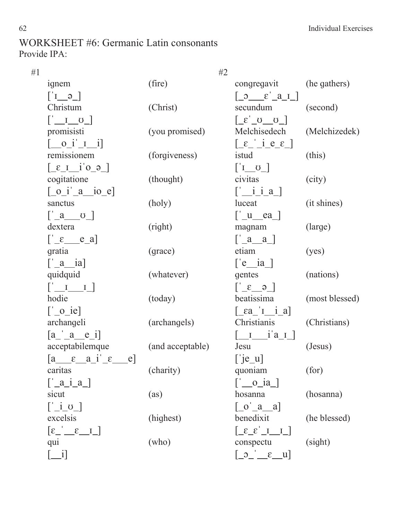#### WORKSHEET #6: Germanic Latin consonants Provide IPA:

| #1 |                                                                                 | #2               |                                                                                                                                                                                                                                                                                                                                                                                                                                                                                                                                                                                                                    |                |
|----|---------------------------------------------------------------------------------|------------------|--------------------------------------------------------------------------------------------------------------------------------------------------------------------------------------------------------------------------------------------------------------------------------------------------------------------------------------------------------------------------------------------------------------------------------------------------------------------------------------------------------------------------------------------------------------------------------------------------------------------|----------------|
|    | ignem                                                                           | (fire)           | congregavit                                                                                                                                                                                                                                                                                                                                                                                                                                                                                                                                                                                                        | (he gathers)   |
|    | $\begin{bmatrix} -e & I \\ -e & I \end{bmatrix}$                                |                  | $\begin{bmatrix} 0 & \epsilon & a & I \end{bmatrix}$                                                                                                                                                                                                                                                                                                                                                                                                                                                                                                                                                               |                |
|    | Christum                                                                        | (Christ)         | secundum                                                                                                                                                                                                                                                                                                                                                                                                                                                                                                                                                                                                           | (second)       |
|    | $\begin{bmatrix} 1 & 0 \\ 0 & 1 \end{bmatrix}$                                  |                  | $\begin{bmatrix} 0 & 0 \\ 0 & 0 \end{bmatrix}$                                                                                                                                                                                                                                                                                                                                                                                                                                                                                                                                                                     |                |
|    | promisisti                                                                      | (you promised)   | Melchisedech                                                                                                                                                                                                                                                                                                                                                                                                                                                                                                                                                                                                       | (Melchizedek)  |
|    | $\begin{bmatrix} 0 & i' & I & i \end{bmatrix}$                                  |                  | $\left[\begin{array}{ccc} \varepsilon & i e & \varepsilon \end{array}\right]$                                                                                                                                                                                                                                                                                                                                                                                                                                                                                                                                      |                |
|    | remissionem                                                                     | (forgiveness)    | istud                                                                                                                                                                                                                                                                                                                                                                                                                                                                                                                                                                                                              | (this)         |
|    | $\left[\begin{array}{ccc} \epsilon & i' & 0 \\ 0 & -i' & -1 \end{array}\right]$ |                  | $\left[ \begin{array}{c} 1 & 0 \end{array} \right]$                                                                                                                                                                                                                                                                                                                                                                                                                                                                                                                                                                |                |
|    | cogitatione                                                                     | (thought)        | civitas                                                                                                                                                                                                                                                                                                                                                                                                                                                                                                                                                                                                            | (city)         |
|    | $\begin{bmatrix} 0 & i' & a' & io \end{bmatrix}$                                |                  | $\left[\underline{\hspace{1cm}}\underline{\hspace{1cm}}\underline{\hspace{1cm}}\underline{\hspace{1cm}}\underline{\hspace{1cm}}\underline{\hspace{1cm}}\underline{\hspace{1cm}}\underline{\hspace{1cm}}\underline{\hspace{1cm}}\underline{\hspace{1cm}}\underline{\hspace{1cm}}\underline{\hspace{1cm}}\underline{\hspace{1cm}}\underline{\hspace{1cm}}\underline{\hspace{1cm}}\underline{\hspace{1cm}}\underline{\hspace{1cm}}\underline{\hspace{1cm}}\underline{\hspace{1cm}}\underline{\hspace{1cm}}\underline{\hspace{1cm}}\underline{\hspace{1cm}}\underline{\hspace{1cm}}\underline{\hspace{1cm}}\underline$ |                |
|    | sanctus                                                                         | (holy)           | luceat                                                                                                                                                                                                                                                                                                                                                                                                                                                                                                                                                                                                             | (it shines)    |
|    | $\left[ \begin{array}{cc} a & c \end{array} \right]$                            |                  | $\left[\begin{array}{cc} 1 & e^a \end{array}\right]$                                                                                                                                                                                                                                                                                                                                                                                                                                                                                                                                                               |                |
|    | dextera                                                                         | (right)          | magnam                                                                                                                                                                                                                                                                                                                                                                                                                                                                                                                                                                                                             | (large)        |
|    | $\left[\begin{array}{cc} \varepsilon & e_a \end{array}\right]$                  |                  | $\begin{bmatrix} 2 & a \end{bmatrix}$                                                                                                                                                                                                                                                                                                                                                                                                                                                                                                                                                                              |                |
|    | gratia                                                                          | (grace)          | etiam                                                                                                                                                                                                                                                                                                                                                                                                                                                                                                                                                                                                              | (yes)          |
|    | $\lceil \underline{\quad a \quad \quad} \text{ia} \rceil$                       |                  | $\left[ \begin{array}{cc} e & ia \end{array} \right]$                                                                                                                                                                                                                                                                                                                                                                                                                                                                                                                                                              |                |
|    | quidquid                                                                        | (whatever)       | gentes                                                                                                                                                                                                                                                                                                                                                                                                                                                                                                                                                                                                             | (nations)      |
|    | $\begin{bmatrix} 1 & 1 & 1 \end{bmatrix}$                                       |                  | $\begin{bmatrix} 6 & 3 \end{bmatrix}$                                                                                                                                                                                                                                                                                                                                                                                                                                                                                                                                                                              |                |
|    | hodie                                                                           | (today)          | beatissima                                                                                                                                                                                                                                                                                                                                                                                                                                                                                                                                                                                                         | (most blessed) |
|    | $\left[\begin{array}{cc} 0 & ie \end{array}\right]$                             |                  | $\left[\begin{array}{cc} \epsilon a & I & i \end{array}a\right]$                                                                                                                                                                                                                                                                                                                                                                                                                                                                                                                                                   |                |
|    | archangeli                                                                      | (archangels)     | Christianis                                                                                                                                                                                                                                                                                                                                                                                                                                                                                                                                                                                                        | (Christians)   |
|    | $[a \ a \ e \ i]$                                                               |                  | $\begin{bmatrix} 1 & i' a & I \end{bmatrix}$                                                                                                                                                                                                                                                                                                                                                                                                                                                                                                                                                                       |                |
|    | acceptabilemque                                                                 | (and acceptable) | Jesu                                                                                                                                                                                                                                                                                                                                                                                                                                                                                                                                                                                                               | (Jesus)        |
|    | $[a \quad \varepsilon \quad a \quad i' \quad \varepsilon$<br>$e$ ]              |                  | $[\n \begin{bmatrix} \n \end{bmatrix} e_u]$                                                                                                                                                                                                                                                                                                                                                                                                                                                                                                                                                                        |                |
|    | caritas                                                                         | (charity)        | quoniam                                                                                                                                                                                                                                                                                                                                                                                                                                                                                                                                                                                                            | (for)          |
|    | $\left[\begin{array}{cc} a & i & a \end{array}\right]$                          |                  | $\left[\begin{array}{c} 0 & \text{ia} \end{array}\right]$                                                                                                                                                                                                                                                                                                                                                                                                                                                                                                                                                          |                |
|    | sicut                                                                           | (as)             | hosanna                                                                                                                                                                                                                                                                                                                                                                                                                                                                                                                                                                                                            | (hosanna)      |
|    | $\left[\begin{array}{cc} 1 & 0 \end{array}\right]$                              |                  | $\begin{bmatrix} 0 & a & a \end{bmatrix}$                                                                                                                                                                                                                                                                                                                                                                                                                                                                                                                                                                          |                |
|    | excelsis                                                                        | (highest)        | benedixit                                                                                                                                                                                                                                                                                                                                                                                                                                                                                                                                                                                                          | (he blessed)   |
|    | $\left[\epsilon \right]$ $\epsilon$ $I$                                         |                  | $\begin{bmatrix} 1 & 1 \end{bmatrix}$                                                                                                                                                                                                                                                                                                                                                                                                                                                                                                                                                                              |                |
|    | qui                                                                             | (who)            | conspectu                                                                                                                                                                                                                                                                                                                                                                                                                                                                                                                                                                                                          | (sight)        |
|    | $\Box$ i]                                                                       |                  | $\begin{bmatrix} 0 & \epsilon & u \end{bmatrix}$                                                                                                                                                                                                                                                                                                                                                                                                                                                                                                                                                                   |                |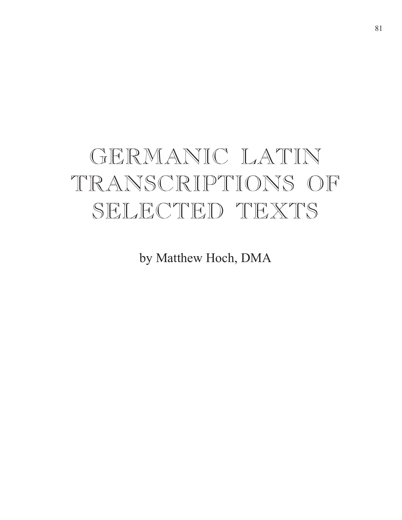# GERMANIC LATIN TRANSCRIPTIONS OF SELECTED TEXTS

by Matthew Hoch, DMA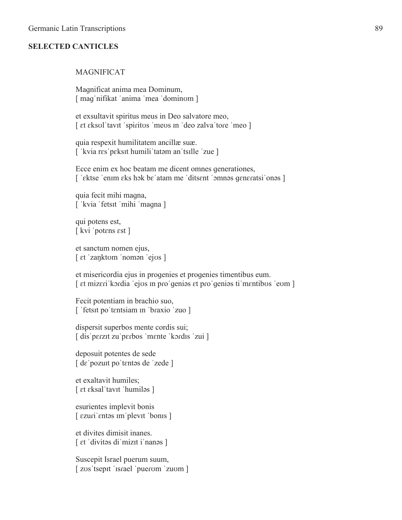#### **SELECTED CANTICLES**

#### MAGNIFICAT

Magnificat anima mea Dominum, [ maq nifikat 'anima 'mea 'dominum ]

et exsultavit spiritus meus in Deo salvatore meo, [ et eksul 'tavit 'spiritus 'meus in 'deo zalva 'tore 'meo ]

quia respexit humilitatem ancillæ suæ. ['kvia res'peksit humili'tatam an'tsille 'zue ]

Ecce enim ex hoc beatam me dicent omnes generationes, ['ektse 'enim eks hok be atam me 'ditsent 'omnos generatsi'onos ]

quia fecit mihi maqna, [ 'kvia 'fetsit 'mihi 'magna ]

qui potens est,  $\lceil$  kvi 'potens est  $\rceil$ 

et sanctum nomen ejus,  $\lceil \text{et } \text{zanktom} \rceil$  roman 'ejos  $\rceil$ 

et misericordia ejus in progenies et progenies timentibus eum. [ et mizeri kordia 'ejos in pro'genios et pro'genios ti mentibos 'eom ]

Fecit potentiam in brachio suo, [ 'fetsit po'tentsiam in 'braxio 'zuo ]

dispersit superbos mente cordis sui; [dis'perzit zu'perbos 'mente 'kordis 'zui]

deposuit potentes de sede  $\lceil$  de 'pozuit po 'tentos de 'zede ]

et exaltavit humiles;  $\lceil$  et eksal 'tavit 'humiləs  $\rceil$ 

esurientes implevit bonis  $\int$  ezuri entos im plevit bonis ]

et divites dimisit inanes. [ et 'divitos di'mizit i'nanos ]

Suscepit Israel puerum suum, [ zus 'tsepit 'israel 'puerum 'zuum ]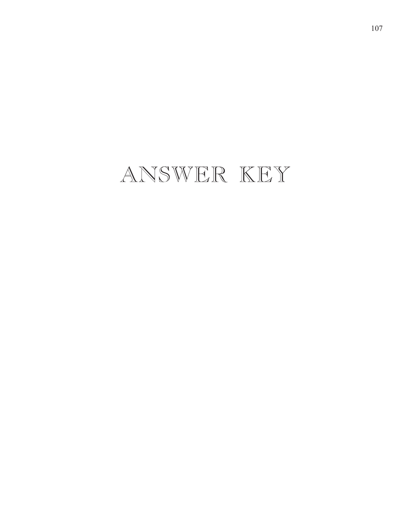## ANSWER KEY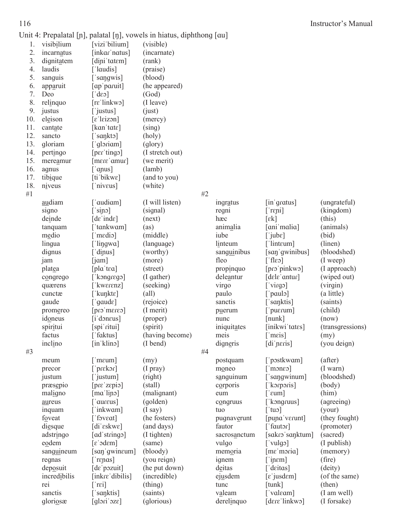#### Instructor's Manual

| ۰,<br>۰.<br>v<br>× |
|--------------------|
|--------------------|

|     |              |                                              | Unit 4: Prepalatal [n], palatal [n], vowels in hiatus, diphthong [au] |    |                     |                                        |                     |
|-----|--------------|----------------------------------------------|-----------------------------------------------------------------------|----|---------------------|----------------------------------------|---------------------|
| 1.  | visibilium   | [vizi bilium]                                | (visible)                                                             |    |                     |                                        |                     |
| 2.  | incarnatus   | [inkar'natus]                                | (incarnate)                                                           |    |                     |                                        |                     |
| 3.  | dignitatem   | [dini tatem]                                 | (rank)                                                                |    |                     |                                        |                     |
| 4.  | laudis       | $\lceil$ laudis]                             | (praise)                                                              |    |                     |                                        |                     |
| 5.  | sanguis      | $\lceil$ 'sangwis]                           | (blood)                                                               |    |                     |                                        |                     |
| 6.  | apparuit     | [ap'paruit]                                  | (he appeared)                                                         |    |                     |                                        |                     |
| 7.  | Deo          | $[\text{des}]$                               | (God)                                                                 |    |                     |                                        |                     |
| 8.  | relinquo     | $[{\rm re}'\, {\rm linkw} \circ]$            | (I leave)                                                             |    |                     |                                        |                     |
| 9.  | justus       | ['justus]                                    | (iust)                                                                |    |                     |                                        |                     |
| 10. | eleison      | $[\varepsilon']$ leizon]                     | (mercy)                                                               |    |                     |                                        |                     |
| 11. | cantate      | [ $kan$ tate]                                | (sing)                                                                |    |                     |                                        |                     |
| 12. | sancto       | $\lceil$ 'sankto]                            | (holy)                                                                |    |                     |                                        |                     |
| 13. | gloriam      | $\lceil$ gloriam]                            | (glory)                                                               |    |                     |                                        |                     |
| 14. | pertingo     | [per'ting]                                   | (I stretch out)                                                       |    |                     |                                        |                     |
| 15. | mereamur     | $[$ mere'amur $]$                            | (we merit)                                                            |    |                     |                                        |                     |
| 16. | agnus        | $[$ 'anus]                                   | (lamb)                                                                |    |                     |                                        |                     |
| 17. | tibique      | [ti bikwe]                                   | (and to you)                                                          |    |                     |                                        |                     |
| 18. | niveus       | $\lceil$ 'niveus]                            | (white)                                                               |    |                     |                                        |                     |
| #1  |              |                                              |                                                                       | #2 |                     |                                        |                     |
|     | audiam       | $\lceil$ 'audiam]                            | (I will listen)                                                       |    | ingratus            | $\left[$ in' gratus $\right]$          | (ungrateful)        |
|     | signo        | [sipo]                                       | (signal)                                                              |    | regni               | $[$ repi]                              | (kingdom)           |
|     | deinde       | $\lceil d\varepsilon \rceil$                 | (next)                                                                |    | hæc                 | $\lceil \varepsilon \mathbf{k} \rceil$ | (this)              |
|     | tanquam      | ['tankwam]                                   | (as)                                                                  |    | animalia            | [ani malia]                            | (animals)           |
|     | medio        | $\lceil \text{medio} \rceil$                 | (middle)                                                              |    | iube                | $\lceil$ jub $\varepsilon \rceil$      | (bid)               |
|     | lingua       | [ 'lingwa ]                                  | (language)                                                            |    | linteum             | $\lceil$ linteum]                      | (linen)             |
|     | dignus       | ['dinus]                                     | (worthy)                                                              |    | sanguinibus         | [san 'gwinibus]                        | (bloodshed)         |
|     | jam          | [i <sub>am</sub> ]                           | (more)                                                                |    | fleo                | $\lceil$ flesh                         | $(I$ weep)          |
|     | platea       | [pla'tea]                                    | (street)                                                              |    | propinquo           | [pro'pinkwo]                           | (I approach)        |
|     | congrego     | ['kongrego]                                  | (I gather)                                                            |    | deleantur           | $[$ dele' antur $]$                    | (wiped out)         |
|     | quærens      | [' $kwerenz$ ]                               | (seeking)                                                             |    | virgo               | [right]                                | (virgin)            |
|     | cunctæ       | [' $k$ unkt $\varepsilon$ ]                  | $\text{(all)}$                                                        |    | paulo               | $\lceil$ 'paulo]                       | (a little)          |
|     | gaude        | $[$ 'gaud $\varepsilon]$                     | (rejoice)                                                             |    | sanctis             | ['sanktis]                             | (saints)            |
|     | promereo     | $[pres1 + cons1]$                            | (I merit)                                                             |    | puerum              | $\lceil$ 'pu $\epsilon$ rum $\rceil$   | (child)             |
|     | idoneus      | $[i]$ doneus]                                | (proper)                                                              |    |                     | $[{\rm nunk}]$                         | (now)               |
|     | spiritui     | [spi'ritui]                                  | (spirit)                                                              |    | nunc<br>iniquitates | [inikwi tates]                         | (transgressions)    |
|     | factus       | $\lceil$ faktus]                             | (having become)                                                       |    |                     |                                        |                     |
|     |              | [in klino]                                   | (I bend)                                                              |    | meis                | $\lceil$ 'meis]                        | (my)<br>(you deign) |
|     | inclino      |                                              |                                                                       | #4 | digneris            | [di'neris]                             |                     |
| #3  |              |                                              |                                                                       |    |                     |                                        |                     |
|     | meum         | $[$ meum]                                    | (my)                                                                  |    | postquam            | ['postkwɑm]                            | (after)<br>(I warn) |
|     | precor       | $[$ prekor $]$                               | $(I$ pray $)$                                                         |    | moneo               | $\lceil$ moneo]                        |                     |
|     | justum       | [ justum]                                    | (right)                                                               |    | sanguinum           | ['sangwinum]                           | (bloodshed)         |
|     | præsepio     | [pre'zepio]                                  | (stall)                                                               |    | corporis            | [ˈkɔrpɔris]                            | (body)              |
|     | maligno      | $[\text{ma}'\text{lip}\sigma]$               | (malignant)                                                           |    | eum                 | [' $\text{cum}$ ]                      | (him)               |
|     | aureus       | ['aureus]                                    | (golden)                                                              |    | congruus            | ['kongruus]                            | (agreeing)          |
|     | inquam       | ['inkwam]                                    | $(I$ say $)$                                                          |    | tuo                 | ['tuo]                                 | (your)              |
|     | foveat       | ['foveat]                                    | (he fosters)                                                          |    | pugnaverunt         | [puna'verunt]                          | (they fought)       |
|     | diesque      | [diˈɛskwɛ]                                   | (and days)                                                            |    | fautor              | $\lceil$ fautor]                       | (promoter)          |
|     | adstringo    | [ad'stringo]                                 | (I tighten)                                                           |    | sacrosanctum        | [sakro'sanktum]                        | (sacred)            |
|     | eodem        | $\lceil \varepsilon \cdot \text{dem} \rceil$ | (same)                                                                |    | vulgo               | $\lceil \text{valgo} \rceil$           | (I publish)         |
|     | sanguineum   | [san'gwineum]                                | (bloody)                                                              |    | memoria             | [me'moria]                             | (memory)            |
|     | regnas       | $[$ repas]                                   | (you reign)                                                           |    | ignem               | $[$ in $\epsilon$ m]                   | (fire)              |
|     | deposuit     | $[d\varepsilon]$ pozuit]                     | (he put down)                                                         |    | deitas              | ['deitas]                              | (deity)             |
|     | incredibilis | [inkre'dibilis]                              | (incredible)                                                          |    | ejusdem             | $[\varepsilon]$ jusdem]                | (of the same)       |
|     | rei          | $\lceil$ 'rei $\rceil$                       | (thing)                                                               |    | tunc                | $[{\rm{tunk}}]$                        | (then)              |
|     | sanctis      | 'sanktis]                                    | (saints)                                                              |    | valeam              | ['valeam]                              | (I am well)         |

gloriosæ [ɡlɔriˈɔzɛ] (ɡlorious) derelinquo [dɛɾɛˈlinkwɔ] (Iforsake)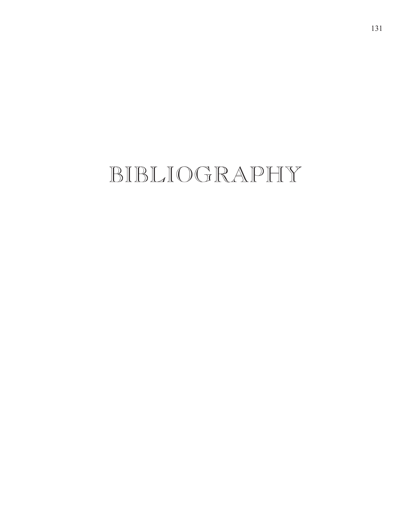## BIBLIOGRAPHY